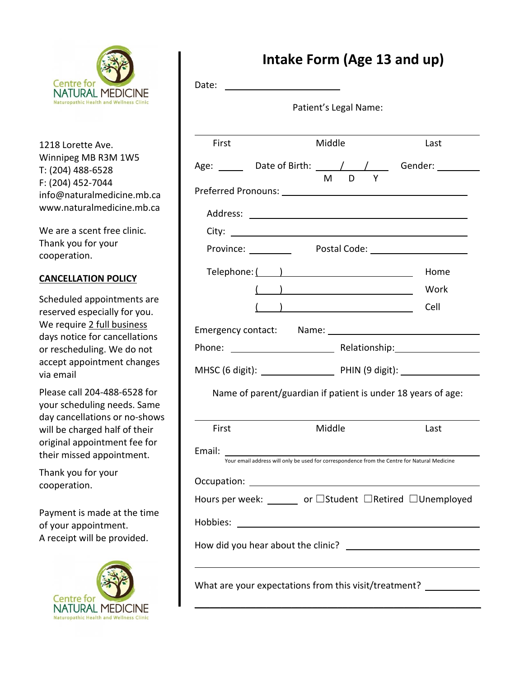

1218 Lorette Ave. Winnipeg MB R3M 1W5 T: (204) 488-6528 F: (204) 452-7044 info@naturalmedicine.mb.ca www.naturalmedicine.mb.ca

We are a scent free clinic. Thank you for your cooperation.

## **CANCELLATION POLICY**

Scheduled appointments are reserved especially for you. We require 2 full business days notice for cancellations or rescheduling. We do not accept appointment changes via email

Please call 204-488-6528 for your scheduling needs. Same day cancellations or no-shows will be charged half of their original appointment fee for their missed appointment.

Thank you for your cooperation.

Payment is made at the time of your appointment. A receipt will be provided.



## **Intake Form (Age 13 and up)**

| Date:  | Patient's Legal Name:                                                                                          |      |
|--------|----------------------------------------------------------------------------------------------------------------|------|
| First  | Middle                                                                                                         | Last |
|        | Age: _______ Date of Birth: _____ / ___ / _____ Gender: _________<br>M D<br>Y                                  |      |
|        |                                                                                                                |      |
|        |                                                                                                                |      |
|        |                                                                                                                |      |
|        | Province: Postal Code: 1990 March 2010                                                                         |      |
|        |                                                                                                                | Home |
|        | $\left(\begin{array}{c} \begin{array}{c} \end{array}\\ \end{array}\right)$                                     | Work |
|        | $\begin{pmatrix} 1 & 1 \end{pmatrix}$                                                                          | Cell |
|        | Emergency contact: Name: 1997 Mame: 2008 Manual Manual Manual Manual Manual Manual Manual Manual Manual Manual |      |
|        |                                                                                                                |      |
|        |                                                                                                                |      |
|        | Name of parent/guardian if patient is under 18 years of age:                                                   |      |
| First  | Middle                                                                                                         | Last |
| Email: |                                                                                                                |      |
|        | Your email address will only be used for correspondence from the Centre for Natural Medicine                   |      |
|        |                                                                                                                |      |
|        | Hours per week: ______ or □Student □Retired □Unemployed                                                        |      |
|        |                                                                                                                |      |
|        |                                                                                                                |      |
|        | What are your expectations from this visit/treatment? ___________                                              |      |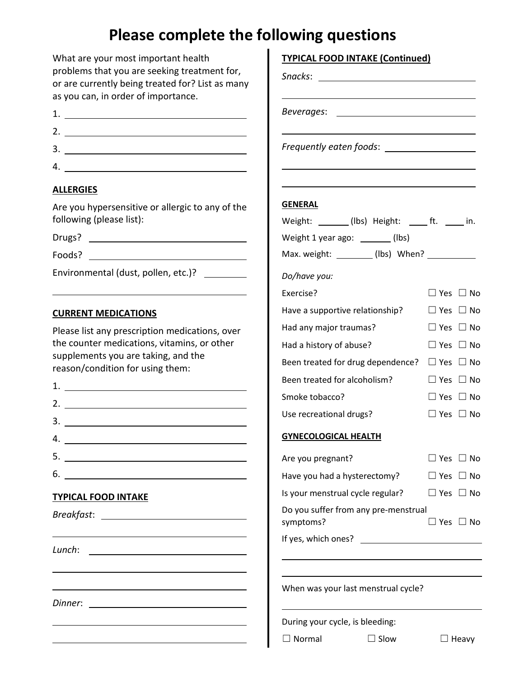## **Please complete the following questions**

| What are your most important health<br>problems that you are seeking treatment for,<br>or are currently being treated for? List as many<br>as you can, in order of importance.                                                                                                                                                            | <b>TYPICAL FOOD INTAKE (Continued)</b>                 |                      |  |  |
|-------------------------------------------------------------------------------------------------------------------------------------------------------------------------------------------------------------------------------------------------------------------------------------------------------------------------------------------|--------------------------------------------------------|----------------------|--|--|
| 1. $\qquad \qquad$                                                                                                                                                                                                                                                                                                                        | Beverages:                                             |                      |  |  |
|                                                                                                                                                                                                                                                                                                                                           |                                                        |                      |  |  |
|                                                                                                                                                                                                                                                                                                                                           |                                                        |                      |  |  |
|                                                                                                                                                                                                                                                                                                                                           |                                                        |                      |  |  |
| <b>ALLERGIES</b>                                                                                                                                                                                                                                                                                                                          |                                                        |                      |  |  |
| Are you hypersensitive or allergic to any of the                                                                                                                                                                                                                                                                                          | <b>GENERAL</b>                                         |                      |  |  |
| following (please list):                                                                                                                                                                                                                                                                                                                  | Weight: _______(lbs) Height: _____ ft. _____ in.       |                      |  |  |
| Drugs?                                                                                                                                                                                                                                                                                                                                    | Weight 1 year ago: ______(lbs)                         |                      |  |  |
|                                                                                                                                                                                                                                                                                                                                           | Max. weight: _________ (lbs) When? ____________        |                      |  |  |
| Environmental (dust, pollen, etc.)?                                                                                                                                                                                                                                                                                                       | Do/have you:                                           |                      |  |  |
|                                                                                                                                                                                                                                                                                                                                           | Exercise?                                              | $\Box$ Yes $\Box$ No |  |  |
| <b>CURRENT MEDICATIONS</b>                                                                                                                                                                                                                                                                                                                | Have a supportive relationship?                        | $\Box$ Yes $\Box$ No |  |  |
| Please list any prescription medications, over                                                                                                                                                                                                                                                                                            | Had any major traumas?                                 | $\Box$ Yes $\Box$ No |  |  |
| the counter medications, vitamins, or other                                                                                                                                                                                                                                                                                               | Had a history of abuse?                                | $\Box$ Yes $\Box$ No |  |  |
| supplements you are taking, and the                                                                                                                                                                                                                                                                                                       | Been treated for drug dependence? $\Box$ Yes $\Box$ No |                      |  |  |
| reason/condition for using them:                                                                                                                                                                                                                                                                                                          | Been treated for alcoholism?                           | $\Box$ Yes $\Box$ No |  |  |
| 1. <u>___________________________________</u>                                                                                                                                                                                                                                                                                             | Smoke tobacco?                                         | $\Box$ Yes $\Box$ No |  |  |
|                                                                                                                                                                                                                                                                                                                                           | Use recreational drugs?                                | $\Box$ Yes $\Box$ No |  |  |
| $\frac{3}{2}$ $\frac{1}{2}$ $\frac{3}{2}$ $\frac{1}{2}$ $\frac{1}{2}$ $\frac{1}{2}$ $\frac{1}{2}$ $\frac{1}{2}$ $\frac{1}{2}$ $\frac{1}{2}$ $\frac{1}{2}$ $\frac{1}{2}$ $\frac{1}{2}$ $\frac{1}{2}$ $\frac{1}{2}$ $\frac{1}{2}$ $\frac{1}{2}$ $\frac{1}{2}$ $\frac{1}{2}$ $\frac{1}{2}$ $\frac{1}{2}$ $\frac{1}{2}$<br>4. $\qquad \qquad$ | <b>GYNECOLOGICAL HEALTH</b>                            |                      |  |  |
|                                                                                                                                                                                                                                                                                                                                           |                                                        |                      |  |  |
|                                                                                                                                                                                                                                                                                                                                           | Are you pregnant?                                      | $\Box$ Yes $\Box$ No |  |  |
| $6.$ $\overline{\phantom{a}}$                                                                                                                                                                                                                                                                                                             | Have you had a hysterectomy?                           | $\Box$ Yes $\Box$ No |  |  |
| <b>TYPICAL FOOD INTAKE</b>                                                                                                                                                                                                                                                                                                                | Is your menstrual cycle regular? $\Box$ Yes $\Box$ No  |                      |  |  |
|                                                                                                                                                                                                                                                                                                                                           | Do you suffer from any pre-menstrual<br>symptoms?      | $\Box$ Yes $\Box$ No |  |  |
|                                                                                                                                                                                                                                                                                                                                           |                                                        |                      |  |  |
|                                                                                                                                                                                                                                                                                                                                           |                                                        |                      |  |  |
|                                                                                                                                                                                                                                                                                                                                           | When was your last menstrual cycle?                    |                      |  |  |
|                                                                                                                                                                                                                                                                                                                                           | During your cycle, is bleeding:                        |                      |  |  |
|                                                                                                                                                                                                                                                                                                                                           | $\Box$ Normal<br>$\Box$ Slow                           | $\Box$ Heavy         |  |  |